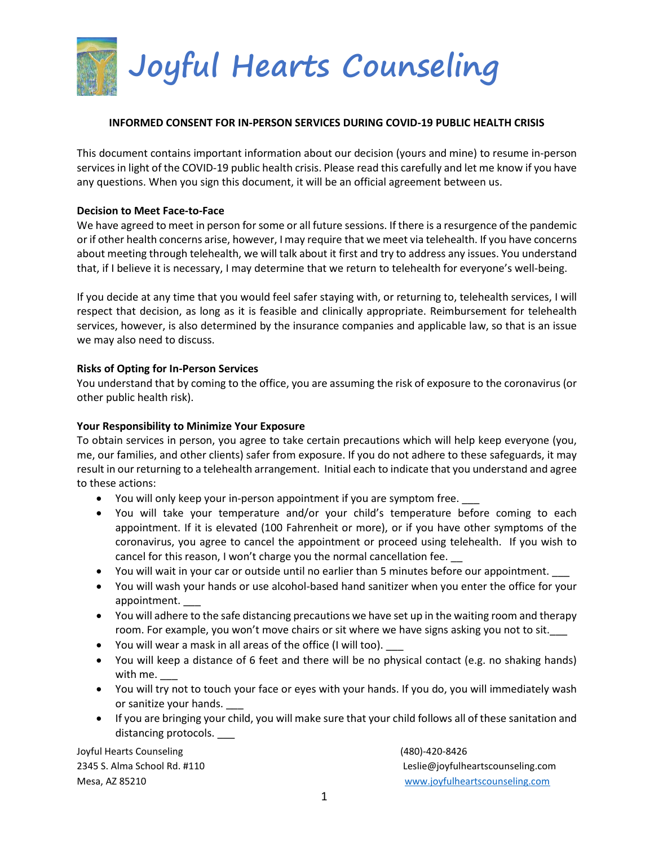

#### **INFORMED CONSENT FOR IN-PERSON SERVICES DURING COVID-19 PUBLIC HEALTH CRISIS**

This document contains important information about our decision (yours and mine) to resume in-person services in light of the COVID-19 public health crisis. Please read this carefully and let me know if you have any questions. When you sign this document, it will be an official agreement between us.

#### **Decision to Meet Face-to-Face**

We have agreed to meet in person for some or all future sessions. If there is a resurgence of the pandemic or if other health concerns arise, however, I may require that we meet via telehealth. If you have concerns about meeting through telehealth, we will talk about it first and try to address any issues. You understand that, if I believe it is necessary, I may determine that we return to telehealth for everyone's well-being.

If you decide at any time that you would feel safer staying with, or returning to, telehealth services, I will respect that decision, as long as it is feasible and clinically appropriate. Reimbursement for telehealth services, however, is also determined by the insurance companies and applicable law, so that is an issue we may also need to discuss.

#### **Risks of Opting for In-Person Services**

You understand that by coming to the office, you are assuming the risk of exposure to the coronavirus (or other public health risk).

# **Your Responsibility to Minimize Your Exposure**

To obtain services in person, you agree to take certain precautions which will help keep everyone (you, me, our families, and other clients) safer from exposure. If you do not adhere to these safeguards, it may result in our returning to a telehealth arrangement. Initial each to indicate that you understand and agree to these actions:

- You will only keep your in-person appointment if you are symptom free. \_\_\_
- You will take your temperature and/or your child's temperature before coming to each appointment. If it is elevated (100 Fahrenheit or more), or if you have other symptoms of the coronavirus, you agree to cancel the appointment or proceed using telehealth. If you wish to cancel for this reason, I won't charge you the normal cancellation fee. \_\_
- You will wait in your car or outside until no earlier than 5 minutes before our appointment.
- You will wash your hands or use alcohol-based hand sanitizer when you enter the office for your appointment. \_\_\_
- You will adhere to the safe distancing precautions we have set up in the waiting room and therapy room. For example, you won't move chairs or sit where we have signs asking you not to sit.
- You will wear a mask in all areas of the office (I will too). \_\_\_
- You will keep a distance of 6 feet and there will be no physical contact (e.g. no shaking hands) with me.
- You will try not to touch your face or eyes with your hands. If you do, you will immediately wash or sanitize your hands.
- If you are bringing your child, you will make sure that your child follows all of these sanitation and distancing protocols. \_\_\_

Joyful Hearts Counseling (480)-420-8426

2345 S. Alma School Rd. #110 Leslie@joyfulheartscounseling.com Mesa, AZ 85210 [www.joyfulheartscounseling.com](http://www.joyfulheartscounseling.com/)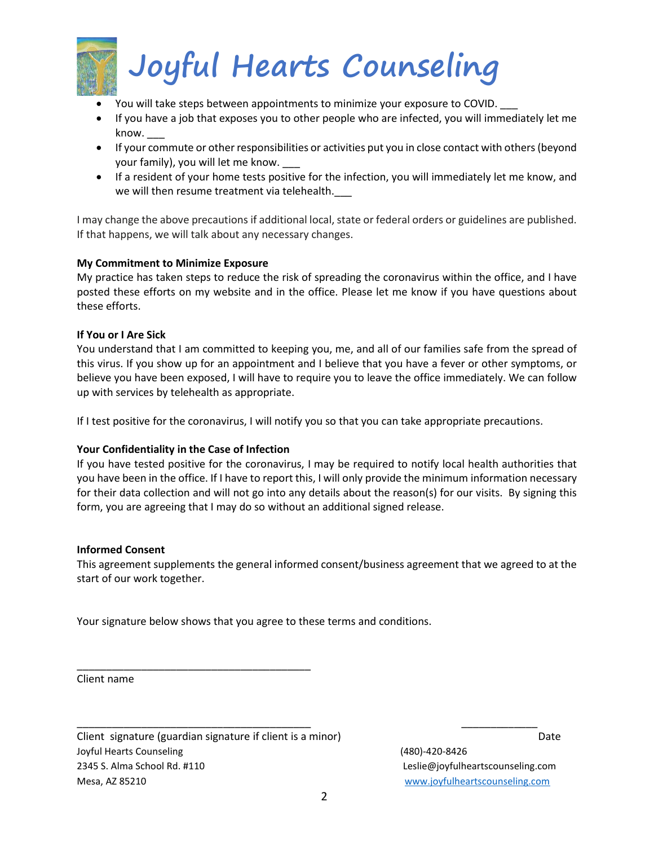

- You will take steps between appointments to minimize your exposure to COVID. \_\_\_
- If you have a job that exposes you to other people who are infected, you will immediately let me know. \_\_\_
- If your commute or other responsibilities or activities put you in close contact with others (beyond your family), you will let me know.
- If a resident of your home tests positive for the infection, you will immediately let me know, and we will then resume treatment via telehealth.

I may change the above precautions if additional local, state or federal orders or guidelines are published. If that happens, we will talk about any necessary changes.

# **My Commitment to Minimize Exposure**

My practice has taken steps to reduce the risk of spreading the coronavirus within the office, and I have posted these efforts on my website and in the office. Please let me know if you have questions about these efforts.

# **If You or I Are Sick**

You understand that I am committed to keeping you, me, and all of our families safe from the spread of this virus. If you show up for an appointment and I believe that you have a fever or other symptoms, or believe you have been exposed, I will have to require you to leave the office immediately. We can follow up with services by telehealth as appropriate.

If I test positive for the coronavirus, I will notify you so that you can take appropriate precautions.

# **Your Confidentiality in the Case of Infection**

If you have tested positive for the coronavirus, I may be required to notify local health authorities that you have been in the office. If I have to report this, I will only provide the minimum information necessary for their data collection and will not go into any details about the reason(s) for our visits. By signing this form, you are agreeing that I may do so without an additional signed release.

# **Informed Consent**

This agreement supplements the general informed consent/business agreement that we agreed to at the start of our work together.

Your signature below shows that you agree to these terms and conditions.

Client name

Joyful Hearts Counseling (480)-420-8426 2345 S. Alma School Rd. #110 Leslie@joyfulheartscounseling.com Mesa, AZ 85210 [www.joyfulheartscounseling.com](http://www.joyfulheartscounseling.com/) Client signature (guardian signature if client is a minor) Date

\_\_\_\_\_\_\_\_\_\_\_\_\_\_\_\_\_\_\_\_\_\_\_\_\_\_\_\_\_\_\_\_\_\_\_\_\_\_\_\_

\_\_\_\_\_\_\_\_\_\_\_\_\_\_\_\_\_\_\_\_\_\_\_\_\_\_\_\_\_\_\_\_\_\_\_\_\_\_\_\_ \_\_\_\_\_\_\_\_\_\_\_\_\_